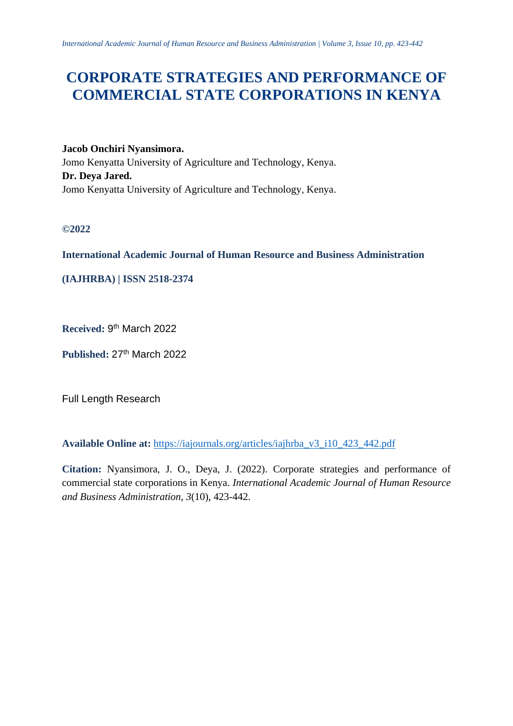# **CORPORATE STRATEGIES AND PERFORMANCE OF COMMERCIAL STATE CORPORATIONS IN KENYA**

**Jacob Onchiri Nyansimora.** Jomo Kenyatta University of Agriculture and Technology, Kenya. **Dr. Deya Jared.** Jomo Kenyatta University of Agriculture and Technology, Kenya.

**©2022**

# **International Academic Journal of Human Resource and Business Administration**

**(IAJHRBA) | ISSN 2518-2374**

Received: 9<sup>th</sup> March 2022

Published: 27<sup>th</sup> March 2022

Full Length Research

**Available Online at:** [https://iajournals.org/articles/iajhrba\\_v3\\_i10\\_423\\_442.pdf](https://iajournals.org/articles/iajhrba_v3_i10_423_442.pdf)

**Citation:** Nyansimora, J. O., Deya, J. (2022). Corporate strategies and performance of commercial state corporations in Kenya. *International Academic Journal of Human Resource and Business Administration, 3*(10), 423-442.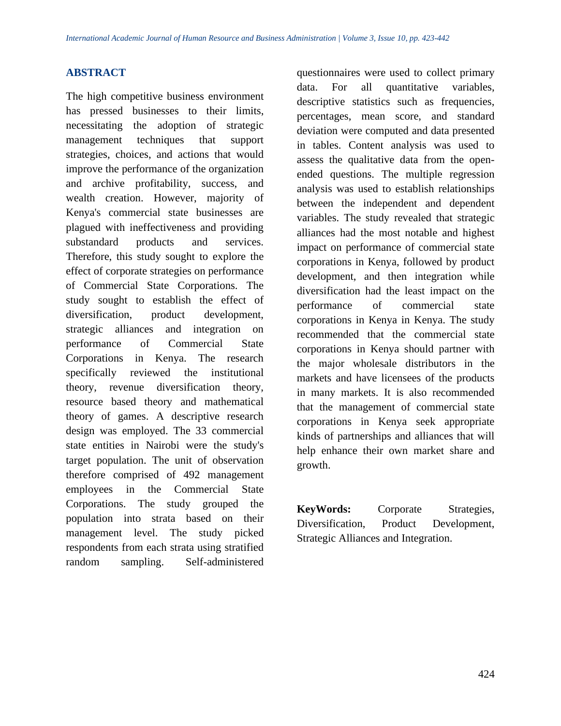### **ABSTRACT**

The high competitive business environment has pressed businesses to their limits, necessitating the adoption of strategic management techniques that support strategies, choices, and actions that would improve the performance of the organization and archive profitability, success, and wealth creation. However, majority of Kenya's commercial state businesses are plagued with ineffectiveness and providing substandard products and services. Therefore, this study sought to explore the effect of corporate strategies on performance of Commercial State Corporations. The study sought to establish the effect of diversification, product development, strategic alliances and integration on performance of Commercial State Corporations in Kenya. The research specifically reviewed the institutional theory, revenue diversification theory, resource based theory and mathematical theory of games. A descriptive research design was employed. The 33 commercial state entities in Nairobi were the study's target population. The unit of observation therefore comprised of 492 management employees in the Commercial State Corporations. The study grouped the population into strata based on their management level. The study picked respondents from each strata using stratified random sampling. Self-administered

questionnaires were used to collect primary data. For all quantitative variables, descriptive statistics such as frequencies, percentages, mean score, and standard deviation were computed and data presented in tables. Content analysis was used to assess the qualitative data from the openended questions. The multiple regression analysis was used to establish relationships between the independent and dependent variables. The study revealed that strategic alliances had the most notable and highest impact on performance of commercial state corporations in Kenya, followed by product development, and then integration while diversification had the least impact on the performance of commercial state corporations in Kenya in Kenya. The study recommended that the commercial state corporations in Kenya should partner with the major wholesale distributors in the markets and have licensees of the products in many markets. It is also recommended that the management of commercial state corporations in Kenya seek appropriate kinds of partnerships and alliances that will help enhance their own market share and growth.

**KeyWords:** Corporate Strategies, Diversification, Product Development, Strategic Alliances and Integration.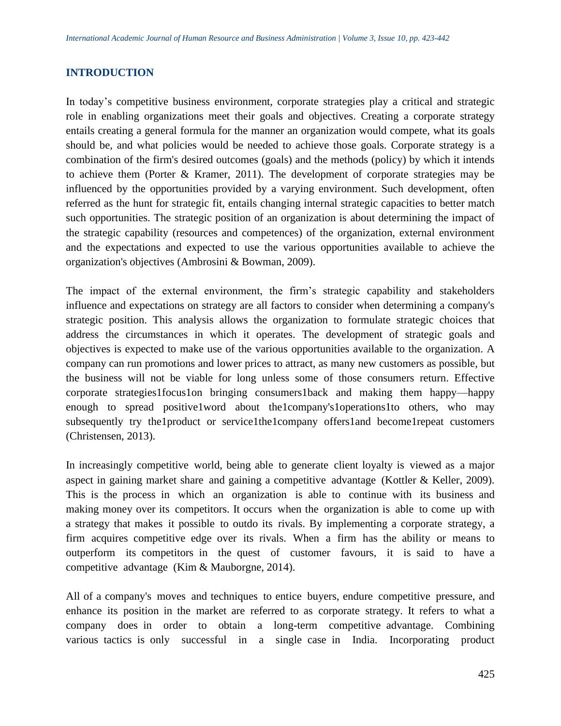# **INTRODUCTION**

In today's competitive business environment, corporate strategies play a critical and strategic role in enabling organizations meet their goals and objectives. Creating a corporate strategy entails creating a general formula for the manner an organization would compete, what its goals should be, and what policies would be needed to achieve those goals. Corporate strategy is a combination of the firm's desired outcomes (goals) and the methods (policy) by which it intends to achieve them (Porter & Kramer, 2011). The development of corporate strategies may be influenced by the opportunities provided by a varying environment. Such development, often referred as the hunt for strategic fit, entails changing internal strategic capacities to better match such opportunities. The strategic position of an organization is about determining the impact of the strategic capability (resources and competences) of the organization, external environment and the expectations and expected to use the various opportunities available to achieve the organization's objectives (Ambrosini & Bowman, 2009).

The impact of the external environment, the firm's strategic capability and stakeholders influence and expectations on strategy are all factors to consider when determining a company's strategic position. This analysis allows the organization to formulate strategic choices that address the circumstances in which it operates. The development of strategic goals and objectives is expected to make use of the various opportunities available to the organization. A company can run promotions and lower prices to attract, as many new customers as possible, but the business will not be viable for long unless some of those consumers return. Effective corporate strategies1focus1on bringing consumers1back and making them happy—happy enough to spread positive1word about the1company's1operations1to others, who may subsequently try the1product or service1the1company offers1and become1repeat customers (Christensen, 2013).

In increasingly competitive world, being able to generate client loyalty is viewed as a major aspect in gaining market share and gaining a competitive advantage (Kottler & Keller, 2009). This is the process in which an organization is able to continue with its business and making money over its competitors. It occurs when the organization is able to come up with a strategy that makes it possible to outdo its rivals. By implementing a corporate strategy, a firm acquires competitive edge over its rivals. When a firm has the ability or means to outperform its competitors in the quest of customer favours, it is said to have a competitive advantage (Kim  $&$  Mauborgne, 2014).

All of a company's moves and techniques to entice buyers, endure competitive pressure, and enhance its position in the market are referred to as corporate strategy. It refers to what a company does in order to obtain a long-term competitive advantage. Combining various tactics is only successful in a single case in India. Incorporating product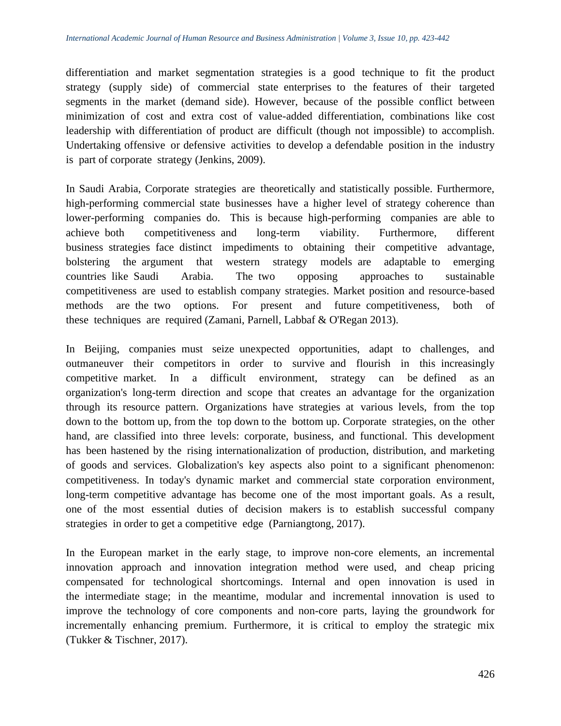differentiation and market segmentation strategies is a good technique to fit the product strategy (supply side) of commercial state enterprises to the features of their targeted segments in the market (demand side). However, because of the possible conflict between minimization of cost and extra cost of value-added differentiation, combinations like cost leadership with differentiation of product are difficult (though not impossible) to accomplish. Undertaking offensive or defensive activities to develop a defendable position in the industry is part of corporate strategy (Jenkins, 2009).

In Saudi Arabia, Corporate strategies are theoretically and statistically possible. Furthermore, high-performing commercial state businesses have a higher level of strategy coherence than lower-performing companies do. This is because high-performing companies are able to achieve both competitiveness and long-term viability. Furthermore, different business strategies face distinct impediments to obtaining their competitive advantage, bolstering the argument that western strategy models are adaptable to emerging countries like Saudi Arabia. The two opposing approaches to sustainable competitiveness are used to establish company strategies. Market position and resource-based methods are the two options. For present and future competitiveness, both of these techniques are required (Zamani, Parnell, Labbaf & O'Regan 2013).

In Beijing, companies must seize unexpected opportunities, adapt to challenges, and outmaneuver their competitors in order to survive and flourish in this increasingly competitive market. In a difficult environment, strategy can be defined as an organization's long-term direction and scope that creates an advantage for the organization through its resource pattern. Organizations have strategies at various levels, from the top down to the bottom up, from the top down to the bottom up. Corporate strategies, on the other hand, are classified into three levels: corporate, business, and functional. This development has been hastened by the rising internationalization of production, distribution, and marketing of goods and services. Globalization's key aspects also point to a significant phenomenon: competitiveness. In today's dynamic market and commercial state corporation environment, long-term competitive advantage has become one of the most important goals. As a result, one of the most essential duties of decision makers is to establish successful company strategies in order to get a competitive edge (Parniangtong, 2017).

In the European market in the early stage, to improve non-core elements, an incremental innovation approach and innovation integration method were used, and cheap pricing compensated for technological shortcomings. Internal and open innovation is used in the intermediate stage; in the meantime, modular and incremental innovation is used to improve the technology of core components and non-core parts, laying the groundwork for incrementally enhancing premium. Furthermore, it is critical to employ the strategic mix (Tukker & Tischner, 2017).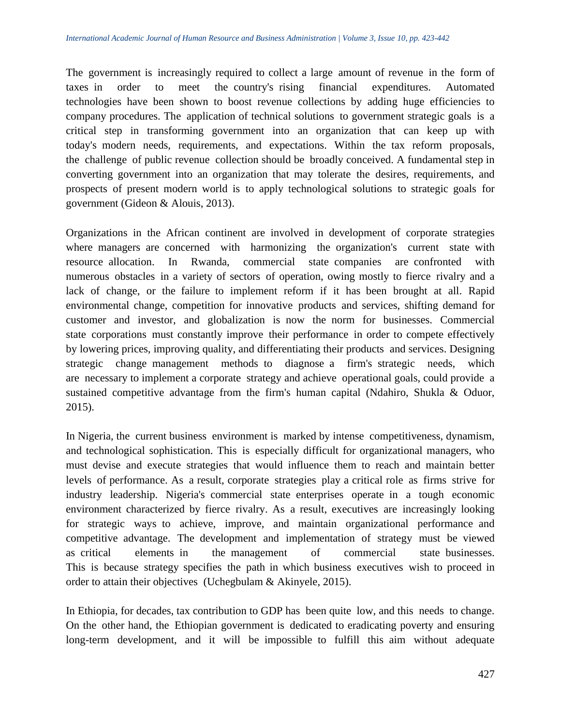The government is increasingly required to collect a large amount of revenue in the form of taxes in order to meet the country's rising financial expenditures. Automated technologies have been shown to boost revenue collections by adding huge efficiencies to company procedures. The application of technical solutions to government strategic goals is a critical step in transforming government into an organization that can keep up with today's modern needs, requirements, and expectations. Within the tax reform proposals, the challenge of public revenue collection should be broadly conceived. A fundamental step in converting government into an organization that may tolerate the desires, requirements, and prospects of present modern world is to apply technological solutions to strategic goals for government (Gideon & Alouis, 2013).

Organizations in the African continent are involved in development of corporate strategies where managers are concerned with harmonizing the organization's current state with resource allocation. In Rwanda, commercial state companies are confronted with numerous obstacles in a variety of sectors of operation, owing mostly to fierce rivalry and a lack of change, or the failure to implement reform if it has been brought at all. Rapid environmental change, competition for innovative products and services, shifting demand for customer and investor, and globalization is now the norm for businesses. Commercial state corporations must constantly improve their performance in order to compete effectively by lowering prices, improving quality, and differentiating their products and services. Designing strategic change management methods to diagnose a firm's strategic needs, which are necessary to implement a corporate strategy and achieve operational goals, could provide a sustained competitive advantage from the firm's human capital (Ndahiro, Shukla  $\&$  Oduor, 2015).

In Nigeria, the current business environment is marked by intense competitiveness, dynamism, and technological sophistication. This is especially difficult for organizational managers, who must devise and execute strategies that would influence them to reach and maintain better levels of performance. As a result, corporate strategies play a critical role as firms strive for industry leadership. Nigeria's commercial state enterprises operate in a tough economic environment characterized by fierce rivalry. As a result, executives are increasingly looking for strategic ways to achieve, improve, and maintain organizational performance and competitive advantage. The development and implementation of strategy must be viewed as critical elements in the management of commercial state businesses. This is because strategy specifies the path in which business executives wish to proceed in order to attain their objectives (Uchegbulam  $&$  Akinyele, 2015).

In Ethiopia, for decades, tax contribution to GDP has been quite low, and this needs to change. On the other hand, the Ethiopian government is dedicated to eradicating poverty and ensuring long-term development, and it will be impossible to fulfill this aim without adequate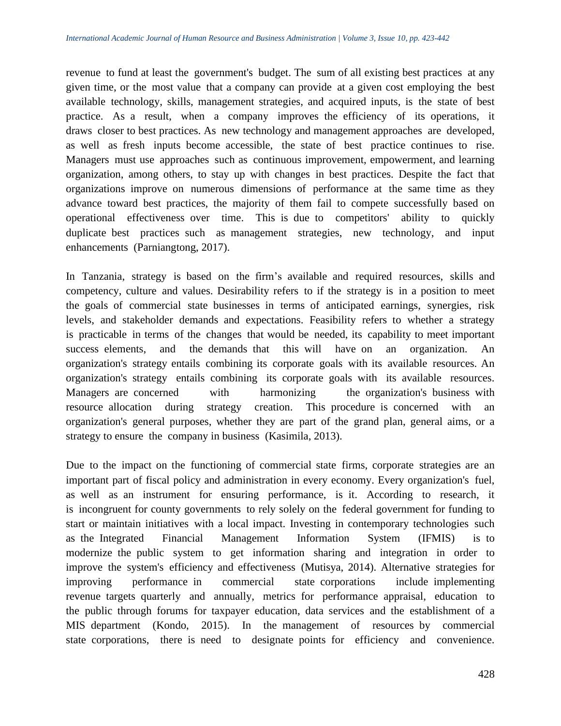revenue to fund at least the government's budget. The sum of all existing best practices at any given time, or the most value that a company can provide at a given cost employing the best available technology, skills, management strategies, and acquired inputs, is the state of best practice. As a result, when a company improves the efficiency of its operations, it draws closer to best practices. As new technology and management approaches are developed, as well as fresh inputs become accessible, the state of best practice continues to rise. Managers must use approaches such as continuous improvement, empowerment, and learning organization, among others, to stay up with changes in best practices. Despite the fact that organizations improve on numerous dimensions of performance at the same time as they advance toward best practices, the majority of them fail to compete successfully based on operational effectiveness over time. This is due to competitors' ability to quickly duplicate best practices such as management strategies, new technology, and input enhancements (Parniangtong, 2017).

In Tanzania, strategy is based on the firm's available and required resources, skills and competency, culture and values. Desirability refers to if the strategy is in a position to meet the goals of commercial state businesses in terms of anticipated earnings, synergies, risk levels, and stakeholder demands and expectations. Feasibility refers to whether a strategy is practicable in terms of the changes that would be needed, its capability to meet important success elements, and the demands that this will have on an organization. An organization's strategy entails combining its corporate goals with its available resources. An organization's strategy entails combining its corporate goals with its available resources. Managers are concerned with harmonizing the organization's business with resource allocation during strategy creation. This procedure is concerned with an organization's general purposes, whether they are part of the grand plan, general aims, or a strategy to ensure the company in business (Kasimila, 2013).

Due to the impact on the functioning of commercial state firms, corporate strategies are an important part of fiscal policy and administration in every economy. Every organization's fuel, as well as an instrument for ensuring performance, is it. According to research, it is incongruent for county governments to rely solely on the federal government for funding to start or maintain initiatives with a local impact. Investing in contemporary technologies such as the Integrated Financial Management Information System (IFMIS) is to modernize the public system to get information sharing and integration in order to improve the system's efficiency and effectiveness (Mutisya, 2014). Alternative strategies for improving performance in commercial state corporations include implementing revenue targets quarterly and annually, metrics for performance appraisal, education to the public through forums for taxpayer education, data services and the establishment of a MIS department (Kondo, 2015). In the management of resources by commercial state corporations, there is need to designate points for efficiency and convenience.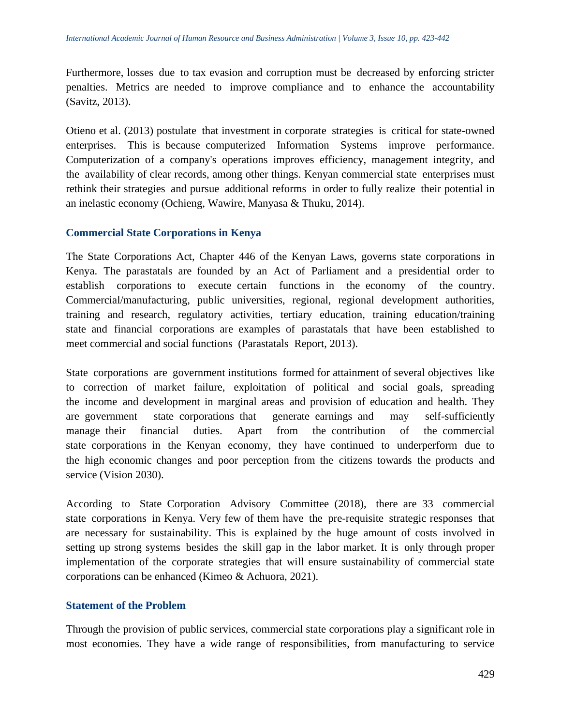Furthermore, losses due to tax evasion and corruption must be decreased by enforcing stricter penalties. Metrics are needed to improve compliance and to enhance the accountability (Savitz, 2013).

Otieno et al. (2013) postulate that investment in corporate strategies is critical for state-owned enterprises. This is because computerized Information Systems improve performance. Computerization of a company's operations improves efficiency, management integrity, and the availability of clear records, among other things. Kenyan commercial state enterprises must rethink their strategies and pursue additional reforms in order to fully realize their potential in an inelastic economy (Ochieng, Wawire, Manyasa & Thuku, 2014).

#### **Commercial State Corporations in Kenya**

The State Corporations Act, Chapter 446 of the Kenyan Laws, governs state corporations in Kenya. The parastatals are founded by an Act of Parliament and a presidential order to establish corporations to execute certain functions in the economy of the country. Commercial/manufacturing, public universities, regional, regional development authorities, training and research, regulatory activities, tertiary education, training education/training state and financial corporations are examples of parastatals that have been established to meet commercial and social functions (Parastatals Report, 2013).

State corporations are government institutions formed for attainment of several objectives like to correction of market failure, exploitation of political and social goals, spreading the income and development in marginal areas and provision of education and health. They are government state corporations that generate earnings and may self-sufficiently manage their financial duties. Apart from the contribution of the commercial state corporations in the Kenyan economy, they have continued to underperform due to the high economic changes and poor perception from the citizens towards the products and service (Vision 2030).

According to State Corporation Advisory Committee (2018), there are 33 commercial state corporations in Kenya. Very few of them have the pre-requisite strategic responses that are necessary for sustainability. This is explained by the huge amount of costs involved in setting up strong systems besides the skill gap in the labor market. It is only through proper implementation of the corporate strategies that will ensure sustainability of commercial state corporations can be enhanced (Kimeo & Achuora, 2021).

#### **Statement of the Problem**

Through the provision of public services, commercial state corporations play a significant role in most economies. They have a wide range of responsibilities, from manufacturing to service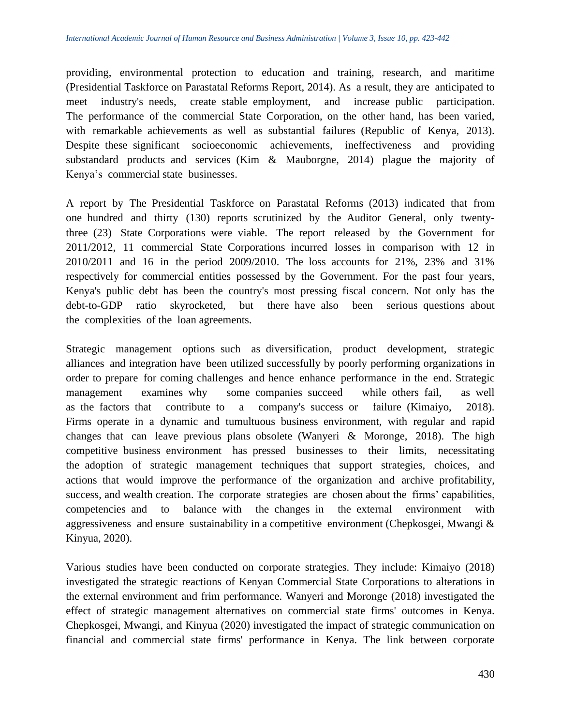providing, environmental protection to education and training, research, and maritime (Presidential Taskforce on Parastatal Reforms Report,  $2014$ ). As a result, they are anticipated to meet industry's needs, create stable employment, and increase public participation. The performance of the commercial State Corporation, on the other hand, has been varied, with remarkable achievements as well as substantial failures (Republic of Kenya, 2013). Despite these significant socioeconomic achievements, ineffectiveness and providing substandard products and services (Kim  $\&$  Mauborgne, 2014) plague the majority of Kenya's commercial state businesses.

A report by The Presidential Taskforce on Parastatal Reforms (2013) indicated that from one hundred and thirty  $(130)$  reports scrutinized by the Auditor General, only twentythree  $(23)$  State Corporations were viable. The report released by the Government for  $2011/2012$ , 11 commercial State Corporations incurred losses in comparison with 12 in  $2010/2011$  and 16 in the period  $2009/2010$ . The loss accounts for 21%, 23% and 31% respectively for commercial entities possessed by the Government. For the past four years, Kenya's public debt has been the country's most pressing fiscal concern. Not only has the debt-to-GDP ratio skyrocketed, but there have also been serious questions about the complexities of the loan agreements.

Strategic management options such as diversification, product development, strategic alliances and integration have been utilized successfully by poorly performing organizations in order to prepare for coming challenges and hence enhance performance in the end. Strategic management examines why some companies succeed while others fail, as well as the factors that contribute to a company's success or failure (Kimaiyo, 2018). Firms operate in a dynamic and tumultuous business environment, with regular and rapid changes that can leave previous plans obsolete (Wanyeri & Moronge, 2018). The high competitive business environment has pressed businesses to their limits, necessitating the adoption of strategic management techniques that support strategies, choices, and actions that would improve the performance of the organization and archive profitability, success, and wealth creation. The corporate strategies are chosen about the firms' capabilities, competencies and to balance with the changes in the external environment with aggressiveness and ensure sustainability in a competitive environment (Chepkosgei, Mwangi  $\&$ Kinyua, 2020).

Various studies have been conducted on corporate strategies. They include: Kimaiyo (2018) investigated the strategic reactions of Kenyan Commercial State Corporations to alterations in the external environment and frim performance. Wanyeri and Moronge (2018) investigated the effect of strategic management alternatives on commercial state firms' outcomes in Kenya. Chepkosgei, Mwangi, and Kinyua (2020) investigated the impact of strategic communication on financial and commercial state firms' performance in Kenya. The link between corporate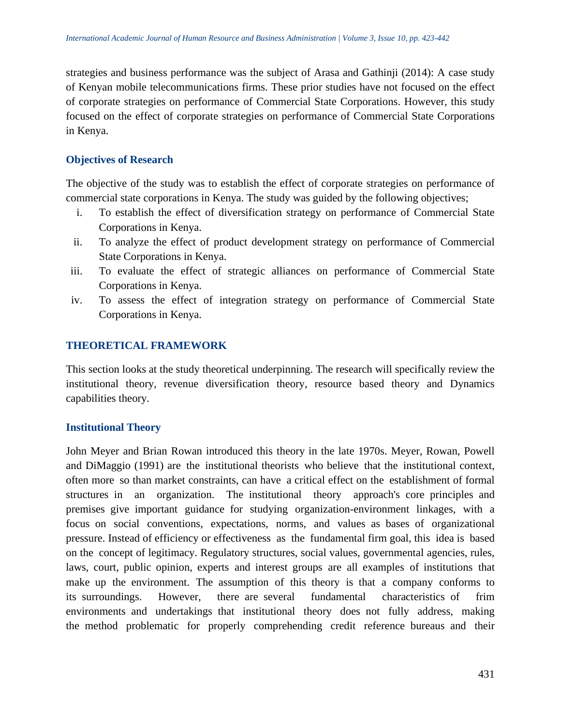strategies and business performance was the subject of Arasa and Gathinji (2014): A case study of Kenyan mobile telecommunications firms. These prior studies have not focused on the effect of corporate strategies on performance of Commercial State Corporations. However, this study focused on the effect of corporate strategies on performance of Commercial State Corporations in Kenya.

## **Objectives of Research**

The objective of the study was to establish the effect of corporate strategies on performance of commercial state corporations in Kenya. The study was guided by the following objectives;

- i. To establish the effect of diversification strategy on performance of Commercial State Corporations in Kenya.
- ii. To analyze the effect of product development strategy on performance of Commercial State Corporations in Kenya.
- iii. To evaluate the effect of strategic alliances on performance of Commercial State Corporations in Kenya.
- iv. To assess the effect of integration strategy on performance of Commercial State Corporations in Kenya.

# **THEORETICAL FRAMEWORK**

This section looks at the study theoretical underpinning. The research will specifically review the institutional theory, revenue diversification theory, resource based theory and Dynamics capabilities theory.

#### **Institutional Theory**

John Meyer and Brian Rowan introduced this theory in the late 1970s. Meyer, Rowan, Powell and DiMaggio (1991) are the institutional theorists who believe that the institutional context, often more so than market constraints, can have a critical effect on the establishment of formal structures in an organization. The institutional theory approach's core principles and premises give important guidance for studying organization-environment linkages, with a focus on social conventions, expectations, norms, and values as bases of organizational pressure. Instead of efficiency or effectiveness as the fundamental firm goal, this idea is based on the concept of legitimacy. Regulatory structures, social values, governmental agencies, rules, laws, court, public opinion, experts and interest groups are all examples of institutions that make up the environment. The assumption of this theory is that a company conforms to its surroundings. However, there are several fundamental characteristics of frim environments and undertakings that institutional theory does not fully address, making the method problematic for properly comprehending credit reference bureaus and their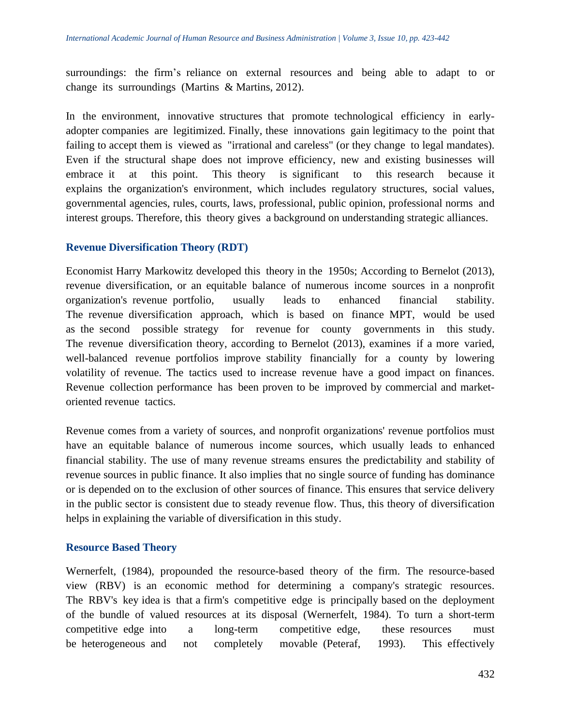surroundings: the firm's reliance on external resources and being able to adapt to or change its surroundings (Martins  $&$  Martins, 2012).

In the environment, innovative structures that promote technological efficiency in earlyadopter companies are legitimized. Finally, these innovations gain legitimacy to the point that failing to accept them is viewed as "irrational and careless" (or they change to legal mandates). Even if the structural shape does not improve efficiency, new and existing businesses will embrace it at this point. This theory is significant to this research because it explains the organization's environment, which includes regulatory structures, social values, governmental agencies, rules, courts, laws, professional, public opinion, professional norms and interest groups. Therefore, this theory gives a background on understanding strategic alliances.

# **Revenue Diversification Theory (RDT)**

Economist Harry Markowitz developed this theory in the 1950s; According to Bernelot (2013), revenue diversification, or an equitable balance of numerous income sources in a nonprofit organization's revenue portfolio, usually leads to enhanced financial stability. The revenue diversification approach, which is based on finance MPT, would be used as the second possible strategy for revenue for county governments in this study. The revenue diversification theory, according to Bernelot  $(2013)$ , examines if a more varied, well-balanced revenue portfolios improve stability financially for a county by lowering volatility of revenue. The tactics used to increase revenue have a good impact on finances. Revenue collection performance has been proven to be improved by commercial and marketoriented revenue tactics.

Revenue comes from a variety of sources, and nonprofit organizations' revenue portfolios must have an equitable balance of numerous income sources, which usually leads to enhanced financial stability. The use of many revenue streams ensures the predictability and stability of revenue sources in public finance. It also implies that no single source of funding has dominance or is depended on to the exclusion of other sources of finance. This ensures that service delivery in the public sector is consistent due to steady revenue flow. Thus, this theory of diversification helps in explaining the variable of diversification in this study.

#### **Resource Based Theory**

Wernerfelt, (1984), propounded the resource-based theory of the firm. The resource-based view (RBV) is an economic method for determining a company's strategic resources. The RBV's key idea is that a firm's competitive edge is principally based on the deployment of the bundle of valued resources at its disposal (Wernerfelt, 1984). To turn a short-term competitive edge into a long-term competitive edge, these resources must be heterogeneous and not completely movable (Peteraf, 1993). This effectively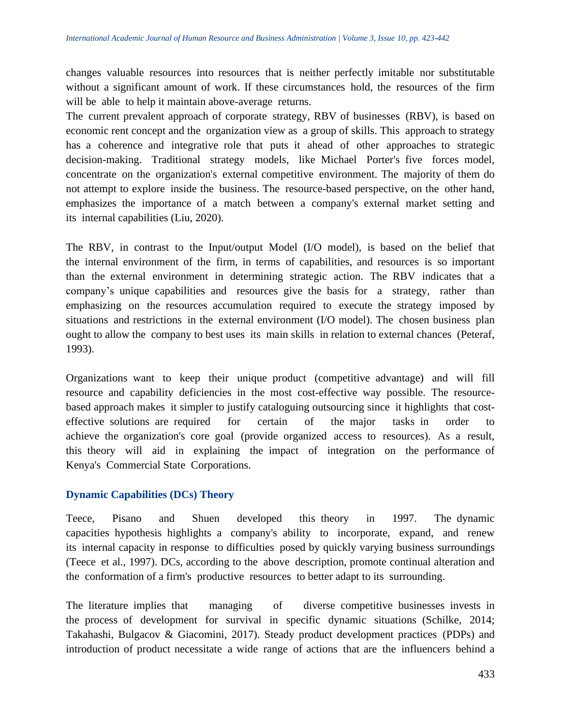changes valuable resources into resources that is neither perfectly imitable nor substitutable without a significant amount of work. If these circumstances hold, the resources of the firm will be able to help it maintain above-average returns.

The current prevalent approach of corporate strategy, RBV of businesses (RBV), is based on economic rent concept and the organization view as a group of skills. This approach to strategy has a coherence and integrative role that puts it ahead of other approaches to strategic decision-making. Traditional strategy models, like Michael Porter's five forces model, concentrate on the organization's external competitive environment. The majority of them do not attempt to explore inside the business. The resource-based perspective, on the other hand, emphasizes the importance of a match between a company's external market setting and its internal capabilities (Liu, 2020).

The RBV, in contrast to the Input/output Model (I/O model), is based on the belief that the internal environment of the firm, in terms of capabilities, and resources is so important than the external environment in determining strategic action. The RBV indicates that a company's unique capabilities and resources give the basis for a strategy, rather than emphasizing on the resources accumulation required to execute the strategy imposed by situations and restrictions in the external environment (I/O model). The chosen business plan ought to allow the company to best uses its main skills in relation to external chances (Peteraf, 1993).

Organizations want to keep their unique product (competitive advantage) and will fill resource and capability deficiencies in the most cost-effective way possible. The resourcebased approach makes it simpler to justify cataloguing outsourcing since it highlights that costeffective solutions are required for certain of the major tasks in order to achieve the organization's core goal (provide organized access to resources). As a result, this theory will aid in explaining the impact of integration on the performance of Kenya's Commercial State Corporations.

#### **Dynamic Capabilities (DCs) Theory**

Teece, Pisano and Shuen developed this theory in 1997. The dynamic capacities hypothesis highlights a company's ability to incorporate, expand, and renew its internal capacity in response to difficulties posed by quickly varying business surroundings (Teece et al., 1997). DCs, according to the above description, promote continual alteration and the conformation of a firm's productive resources to better adapt to its surrounding.

The literature implies that managing of diverse competitive businesses invests in the process of development for survival in specific dynamic situations (Schilke, 2014; Takahashi, Bulgacov & Giacomini, 2017). Steady product development practices (PDPs) and introduction of product necessitate a wide range of actions that are the influencers behind a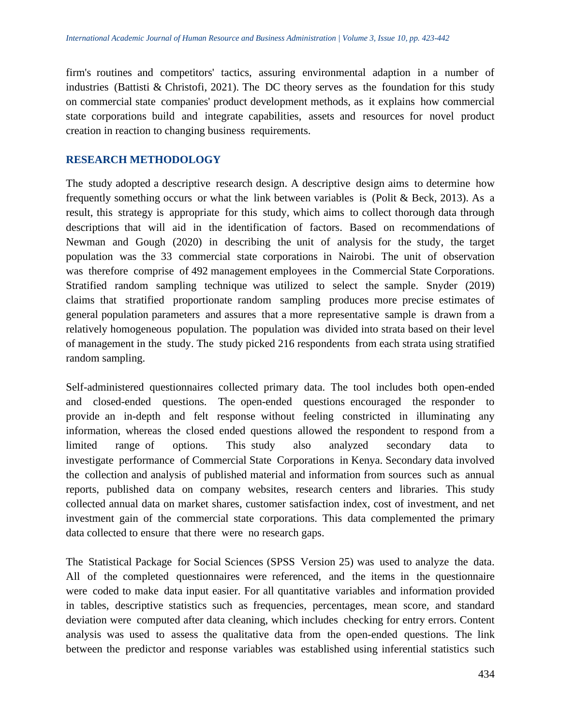firm's routines and competitors' tactics, assuring environmental adaption in a number of industries (Battisti & Christofi, 2021). The DC theory serves as the foundation for this study on commercial state companies' product development methods, as it explains how commercial state corporations build and integrate capabilities, assets and resources for novel product creation in reaction to changing business requirements.

# **RESEARCH METHODOLOGY**

The study adopted a descriptive research design. A descriptive design aims to determine how frequently something occurs or what the link between variables is (Polit & Beck, 2013). As a result, this strategy is appropriate for this study, which aims to collect thorough data through descriptions that will aid in the identification of factors. Based on recommendations of Newman and Gough (2020) in describing the unit of analysis for the study, the target population was the 33 commercial state corporations in Nairobi. The unit of observation was therefore comprise of 492 management employees in the Commercial State Corporations. Stratified random sampling technique was utilized to select the sample. Snyder (2019) claims that stratified proportionate random sampling produces more precise estimates of general population parameters and assures that a more representative sample is drawn from a relatively homogeneous population. The population was divided into strata based on their level of management in the study. The study picked 216 respondents from each strata using stratified random sampling.

Self-administered questionnaires collected primary data. The tool includes both open-ended and closed-ended questions. The open-ended questions encouraged the responder to provide an in-depth and felt response without feeling constricted in illuminating any information, whereas the closed ended questions allowed the respondent to respond from a limited range of options. This study also analyzed secondary data to investigate performance of Commercial State Corporations in Kenya. Secondary data involved the collection and analysis of published material and information from sources such as annual reports, published data on company websites, research centers and libraries. This study collected annual data on market shares, customer satisfaction index, cost of investment, and net investment gain of the commercial state corporations. This data complemented the primary data collected to ensure that there were no research gaps.

The Statistical Package for Social Sciences (SPSS Version 25) was used to analyze the data. All of the completed questionnaires were referenced, and the items in the questionnaire were coded to make data input easier. For all quantitative variables and information provided in tables, descriptive statistics such as frequencies, percentages, mean score, and standard deviation were computed after data cleaning, which includes checking for entry errors. Content analysis was used to assess the qualitative data from the open-ended questions. The link between the predictor and response variables was established using inferential statistics such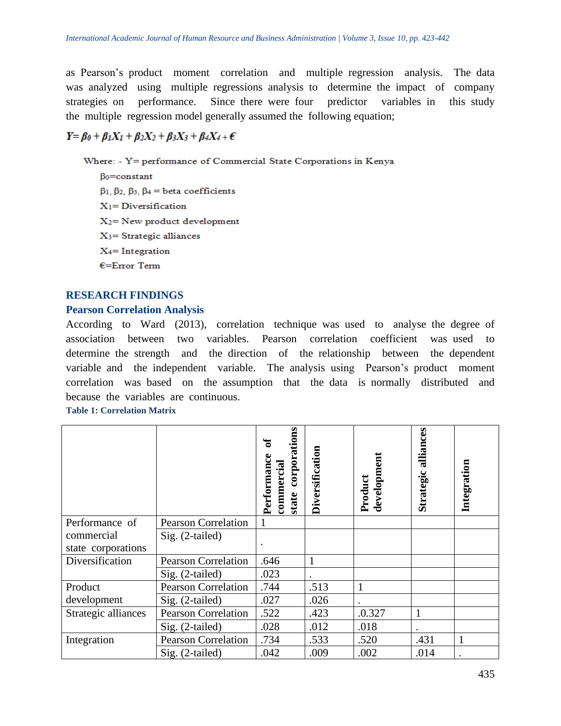as Pearson's product moment correlation and multiple regression analysis. The data was analyzed using multiple regressions analysis to determine the impact of company strategies on performance. Since there were four predictor variables in this study the multiple regression model generally assumed the following equation;

# $Y = \beta_0 + \beta_1 X_1 + \beta_2 X_2 + \beta_3 X_3 + \beta_4 X_4 + \epsilon$

Where: - Y= performance of Commercial State Corporations in Kenya

Bo=constant  $\beta_1$ ,  $\beta_2$ ,  $\beta_3$ ,  $\beta_4$  = beta coefficients  $X_1 = Diversification$  $X_2$ = New product development  $X_3$ = Strategic alliances  $X_4$ = Integration  $E=Error$  Term

#### **RESEARCH FINDINGS**

#### **Pearson Correlation Analysis**

According to Ward  $(2013)$ , correlation technique was used to analyse the degree of association between two variables. Pearson correlation coefficient was used to determine the strength and the direction of the relationship between the dependent variable and the independent variable. The analysis using Pearson's product moment correlation was based on the assumption that the data is normally distributed and because the variables are continuous.

**Table 1: Correlation Matrix** 

|                     |                            | corporations<br>ัธ<br>commercial<br>Performan<br>state | Diversification | development<br>Product | alliances<br>Strategic | Integration |
|---------------------|----------------------------|--------------------------------------------------------|-----------------|------------------------|------------------------|-------------|
| Performance of      | <b>Pearson Correlation</b> |                                                        |                 |                        |                        |             |
| commercial          | Sig. (2-tailed)            |                                                        |                 |                        |                        |             |
| state corporations  |                            |                                                        |                 |                        |                        |             |
| Diversification     | <b>Pearson Correlation</b> | .646                                                   |                 |                        |                        |             |
|                     | Sig. (2-tailed)            | .023                                                   |                 |                        |                        |             |
| Product             | <b>Pearson Correlation</b> | .744                                                   | .513            |                        |                        |             |
| development         | Sig. (2-tailed)            | .027                                                   | .026            |                        |                        |             |
| Strategic alliances | <b>Pearson Correlation</b> | .522                                                   | .423            | .0.327                 |                        |             |
|                     | Sig. (2-tailed)            | .028                                                   | .012            | .018                   |                        |             |
| Integration         | <b>Pearson Correlation</b> | .734                                                   | .533            | .520                   | .431                   |             |
|                     | $Sig. (2-tailed)$          | .042                                                   | .009            | .002                   | .014                   |             |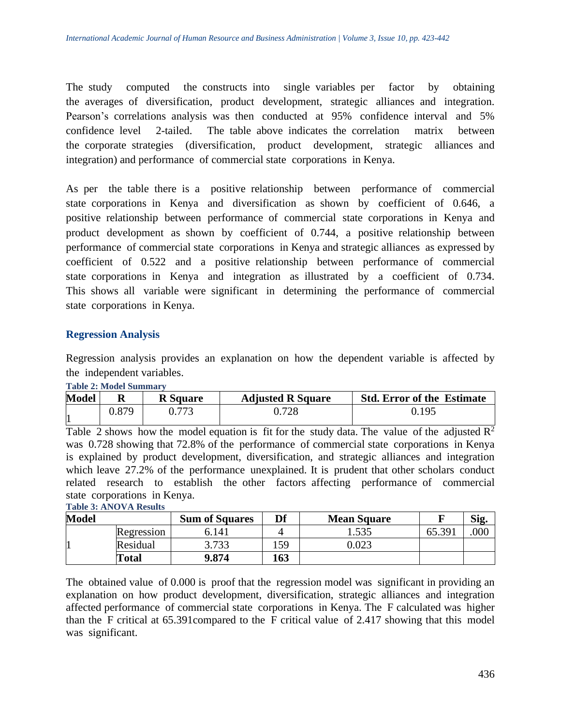The study computed the constructs into single variables per factor by obtaining the averages of diversification, product development, strategic alliances and integration. Pearson's correlations analysis was then conducted at 95% confidence interval and 5% confidence level 2-tailed. The table above indicates the correlation matrix between the corporate strategies (diversification, product development, strategic alliances and integration) and performance of commercial state corporations in Kenya.

As per the table there is a positive relationship between performance of commercial state corporations in Kenya and diversification as shown by coefficient of 0.646, a positive relationship between performance of commercial state corporations in Kenya and product development as shown by coefficient of  $0.744$ , a positive relationship between performance of commercial state corporations in Kenya and strategic alliances as expressed by coefficient of  $0.522$  and a positive relationship between performance of commercial state corporations in Kenya and integration as illustrated by a coefficient of 0.734. This shows all variable were significant in determining the performance of commercial state corporations in Kenya.

#### **Regression Analysis**

Regression analysis provides an explanation on how the dependent variable is affected by the independent variables.

| <b>Model</b> | <b>R</b> Square |  | <b>Adjusted R Square</b> | <b>Std. Error of the Estimate</b> |  |  |
|--------------|-----------------|--|--------------------------|-----------------------------------|--|--|
|              | 0.879           |  | 0.728                    | ) 195                             |  |  |

#### **Table 2: Model Summary**

Table 2 shows how the model equation is fit for the study data. The value of the adjusted  $R^2$ was 0.728 showing that 72.8% of the performance of commercial state corporations in Kenya is explained by product development, diversification, and strategic alliances and integration which leave  $27.2\%$  of the performance unexplained. It is prudent that other scholars conduct related research to establish the other factors affecting performance of commercial state corporations in Kenya. **Table 3: ANOVA Results**

| <b>Model</b> |            | <b>Sum of Squares</b> | Df  | <b>Mean Square</b> |        | Sig. |
|--------------|------------|-----------------------|-----|--------------------|--------|------|
|              | Regression | ،14،                  |     | 1.535              | 65.39' | 000  |
|              | Residual   | 3.733                 | .59 | $0.023\,$          |        |      |
|              | Total      | 9.874                 | 163 |                    |        |      |

The obtained value of 0.000 is proof that the regression model was significant in providing an explanation on how product development, diversification, strategic alliances and integration affected performance of commercial state corporations in Kenya. The F calculated was higher than the F critical at  $65.391$ compared to the F critical value of 2.417 showing that this model was significant.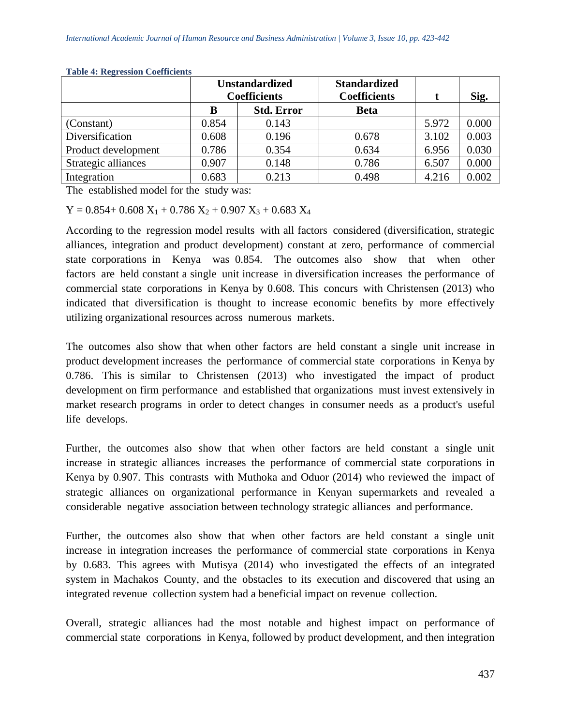|                     | <b>Unstandardized</b><br><b>Coefficients</b> |                   | <b>Standardized</b><br><b>Coefficients</b> |       | Sig.  |
|---------------------|----------------------------------------------|-------------------|--------------------------------------------|-------|-------|
|                     | B                                            | <b>Std. Error</b> | <b>Beta</b>                                |       |       |
| (Constant)          | 0.854                                        | 0.143             |                                            | 5.972 | 0.000 |
| Diversification     | 0.608                                        | 0.196             | 0.678                                      | 3.102 | 0.003 |
| Product development | 0.786                                        | 0.354             | 0.634                                      | 6.956 | 0.030 |
| Strategic alliances | 0.907                                        | 0.148             | 0.786                                      | 6.507 | 0.000 |
| Integration         | 0.683                                        | 0.213             | 0.498                                      | 4.216 | 0.002 |

**Table 4: Regression Coefficients**

The established model for the study was:

 $Y = 0.854 + 0.608 X_1 + 0.786 X_2 + 0.907 X_3 + 0.683 X_4$ 

According to the regression model results with all factors considered (diversification, strategic alliances, integration and product development) constant at zero, performance of commercial state corporations in Kenya was 0.854. The outcomes also show that when other factors are held constant a single unit increase in diversification increases the performance of commercial state corporations in Kenya by 0.608. This concurs with Christensen (2013) who indicated that diversification is thought to increase economic benefits by more effectively utilizing organizational resources across numerous markets.

The outcomes also show that when other factors are held constant a single unit increase in product development increases the performance of commercial state corporations in Kenya by 0.786. This is similar to Christensen  $(2013)$  who investigated the impact of product development on firm performance and established that organizations must invest extensively in market research programs in order to detect changes in consumer needs as a product's useful life develops.

Further, the outcomes also show that when other factors are held constant a single unit increase in strategic alliances increases the performance of commercial state corporations in Kenya by 0.907. This contrasts with Muthoka and Oduor  $(2014)$  who reviewed the impact of strategic alliances on organizational performance in Kenyan supermarkets and revealed a considerable negative association between technology strategic alliances and performance.

Further, the outcomes also show that when other factors are held constant a single unit increase in integration increases the performance of commercial state corporations in Kenya by 0.683. This agrees with Mutisya  $(2014)$  who investigated the effects of an integrated system in Machakos County, and the obstacles to its execution and discovered that using an integrated revenue collection system had a beneficial impact on revenue collection.

Overall, strategic alliances had the most notable and highest impact on performance of commercial state corporations in Kenya, followed by product development, and then integration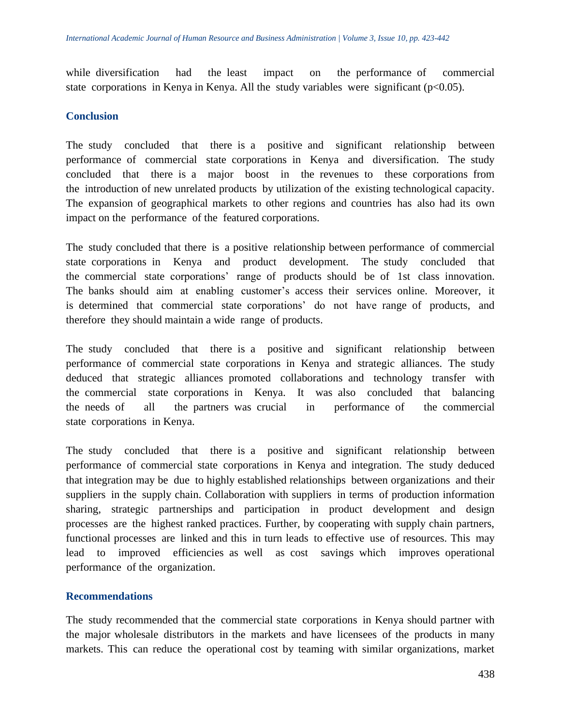while diversification had the least impact on the performance of commercial state corporations in Kenya in Kenya. All the study variables were significant ( $p<0.05$ ).

#### **Conclusion**

The study concluded that there is a positive and significant relationship between performance of commercial state corporations in Kenya and diversification. The study concluded that there is a major boost in the revenues to these corporations from the introduction of new unrelated products by utilization of the existing technological capacity. The expansion of geographical markets to other regions and countries has also had its own impact on the performance of the featured corporations.

The study concluded that there is a positive relationship between performance of commercial state corporations in Kenya and product development. The study concluded that the commercial state corporations' range of products should be of 1st class innovation. The banks should aim at enabling customer's access their services online. Moreover, it is determined that commercial state corporations' do not have range of products, and therefore they should maintain a wide range of products.

The study concluded that there is a positive and significant relationship between performance of commercial state corporations in Kenya and strategic alliances. The study deduced that strategic alliances promoted collaborations and technology transfer with the commercial state corporations in Kenya. It was also concluded that balancing the needs of all the partners was crucial in performance of the commercial state corporations in Kenya.

The study concluded that there is a positive and significant relationship between performance of commercial state corporations in Kenya and integration. The study deduced that integration may be due to highly established relationships between organizations and their suppliers in the supply chain. Collaboration with suppliers in terms of production information sharing, strategic partnerships and participation in product development and design processes are the highest ranked practices. Further, by cooperating with supply chain partners, functional processes are linked and this in turn leads to effective use of resources. This may lead to improved efficiencies as well as cost savings which improves operational performance of the organization.

#### **Recommendations**

The study recommended that the commercial state corporations in Kenya should partner with the major wholesale distributors in the markets and have licensees of the products in many markets. This can reduce the operational cost by teaming with similar organizations, market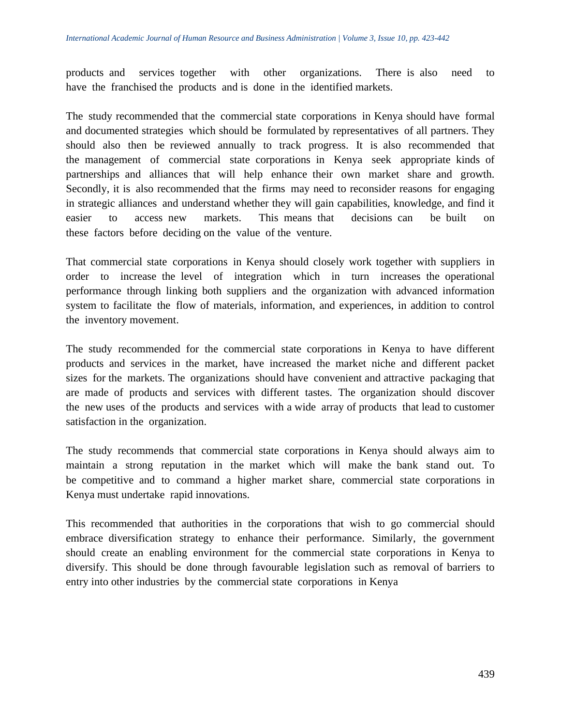products and services together with other organizations. There is also need to have the franchised the products and is done in the identified markets.

The study recommended that the commercial state corporations in Kenya should have formal and documented strategies which should be formulated by representatives of all partners. They should also then be reviewed annually to track progress. It is also recommended that the management of commercial state corporations in Kenya seek appropriate kinds of partnerships and alliances that will help enhance their own market share and growth. Secondly, it is also recommended that the firms may need to reconsider reasons for engaging in strategic alliances and understand whether they will gain capabilities, knowledge, and find it easier to access new markets. This means that decisions can be built on these factors before deciding on the value of the venture.

That commercial state corporations in Kenya should closely work together with suppliers in order to increase the level of integration which in turn increases the operational performance through linking both suppliers and the organization with advanced information system to facilitate the flow of materials, information, and experiences, in addition to control the inventory movement.

The study recommended for the commercial state corporations in Kenya to have different products and services in the market, have increased the market niche and different packet sizes for the markets. The organizations should have convenient and attractive packaging that are made of products and services with different tastes. The organization should discover the new uses of the products and services with a wide array of products that lead to customer satisfaction in the organization.

The study recommends that commercial state corporations in Kenya should always aim to maintain a strong reputation in the market which will make the bank stand out. To be competitive and to command a higher market share, commercial state corporations in Kenya must undertake rapid innovations.

This recommended that authorities in the corporations that wish to go commercial should embrace diversification strategy to enhance their performance. Similarly, the government should create an enabling environment for the commercial state corporations in Kenya to diversify. This should be done through favourable legislation such as removal of barriers to entry into other industries by the commercial state corporations in Kenya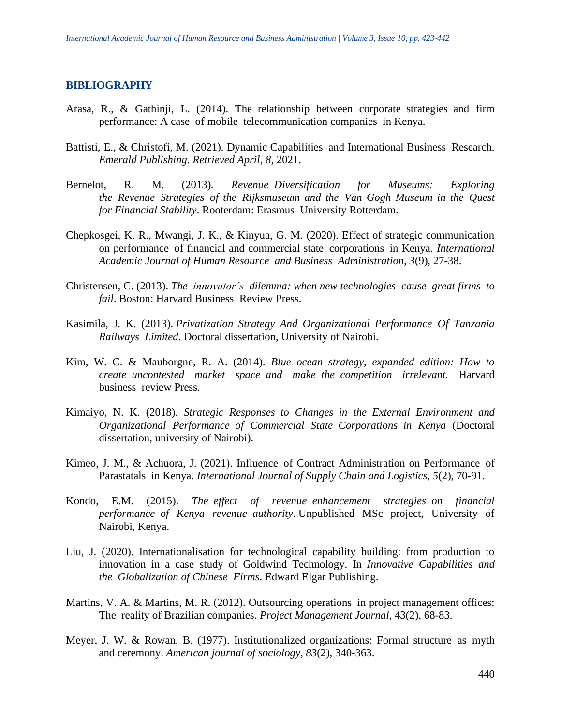#### **BIBLIOGRAPHY**

- Arasa, R., & Gathinji, L. (2014). The relationship between corporate strategies and firm performance: A case of mobile telecommunication companies in Kenya.
- Battisti, E., & Christofi, M. (2021). Dynamic Capabilities and International Business Research. *Emerald Publishing. Retrieved April*, *8*, 2021.
- Bernelot, R. M. (2013). Revenue Diversification for Museums: Exploring *the Revenue Strategies of the Rijksmuseum and the Van Gogh Museum in the Quest for Financial Stability*. Rooterdam: Erasmus University Rotterdam.
- Chepkosgei, K. R., Mwangi, J. K., & Kinyua, G. M. (2020). Effect of strategic communication on performance of financial and commercial state corporations in Kenya. *International Academic Journal of Human Resource and Business Administration, 3(9), 27-38.*
- Christensen, C. (2013). *The innovator's dilemma: when new technologies cause great firms to fail.* Boston: Harvard Business Review Press.
- Kasimila, J. K. (2013). *Privatization Strategy And Organizational Performance Of Tanzania Railways Limited*. Doctoral dissertation, University of Nairobi.
- Kim, W. C. & Mauborgne, R. A. (2014). *Blue ocean strategy, expanded edition: How to create uncontested market space and make the competition irrelevant.* Harvard business review Press.
- Kimaiyo, N. K. (2018). *Strategic Responses to Changes in the External Environment and Organizational Performance of Commercial State Corporations in Kenya* (Doctoral dissertation, university of Nairobi).
- Kimeo, J. M., & Achuora, J. (2021). Influence of Contract Administration on Performance of Parastatals in Kenya. *International Journal of Supply Chain and Logistics*, *5*(2), 70-91.
- Kondo, E.M. (2015). *The effect of revenue enhancement strategies on financial* performance of Kenya revenue authority. Unpublished MSc project, University of Nairobi, Kenya.
- Liu, J. (2020). Internationalisation for technological capability building: from production to innovation in a case study of Goldwind Technology. In *Innovative Capabilities and the Globalization of Chinese Firms*. Edward Elgar Publishing.
- Martins, V. A. & Martins, M. R. (2012). Outsourcing operations in project management offices: The reality of Brazilian companies. *Project Management Journal*, 43(2), 68-83.
- Meyer, J. W. & Rowan, B. (1977). Institutionalized organizations: Formal structure as myth and ceremony. *American journal of sociology*, *83*(2), 340-363.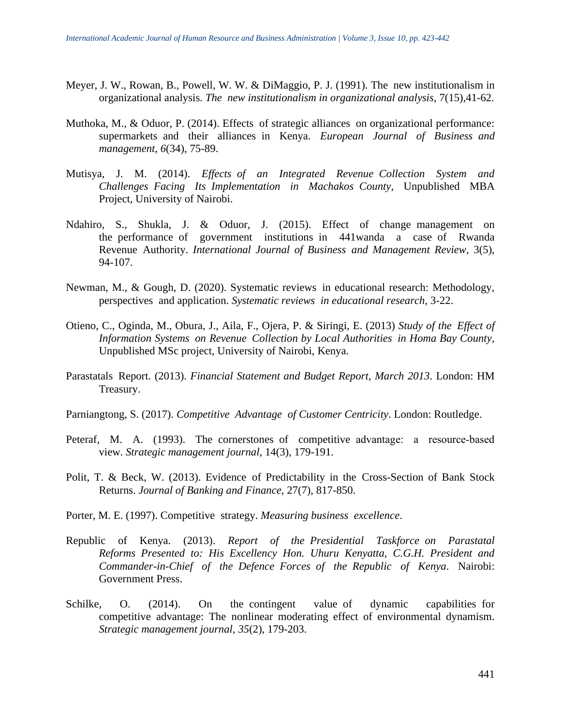- Meyer, J. W., Rowan, B., Powell, W. W. & DiMaggio, P. J. (1991). The new institutionalism in organizational analysis. *The new institutionalism in organizational analysis*, 7(15),41-62.
- Muthoka, M., & Oduor, P. (2014). Effects of strategic alliances on organizational performance: supermarkets and their alliances in Kenya. *European Journal of Business and management*, *6*(34), 75-89.
- Mutisya, J. M. (2014). *Effects of an Integrated Revenue Collection System and Challenges Facing Its Implementation in Machakos County*, Unpublished MBA Project, University of Nairobi.
- Ndahiro, S., Shukla, J. & Oduor, J.  $(2015)$ . Effect of change management on the performance of government institutions in 441wanda a case of Rwanda Revenue Authority. *International Journal of Business and Management Review, 3(5),* 94-107.
- Newman, M., & Gough, D. (2020). Systematic reviews in educational research: Methodology, perspectives and application. Systematic reviews in educational research, 3-22.
- Otieno, C., Oginda, M., Obura, J., Aila, F., Ojera, P. & Siringi, E. (2013) *Study of the Effect of Information Systems on Revenue Collection by Local Authorities in Homa Bay County,* Unpublished MSc project, University of Nairobi, Kenya.
- Parastatals Report. (2013). *Financial Statement and Budget Report, March 2013*. London: HM Treasury.
- Parniangtong, S. (2017). *Competitive Advantage of Customer Centricity*. London: Routledge.
- Peteraf, M. A. (1993). The cornerstones of competitive advantage: a resource-based view. *Strategic management journal*, 14(3), 179-191.
- Polit, T. & Beck, W. (2013). Evidence of Predictability in the Cross-Section of Bank Stock Returns. *Journal of Banking and Finance*, 27(7), 817-850.
- Porter, M. E. (1997). Competitive strategy. *Measuring business excellence*.
- Republic of Kenya. (2013). *Report of the Presidential Taskforce on Parastatal* Reforms Presented to: His Excellency Hon. Uhuru Kenyatta, C.G.H. President and *Commander-in-Chief of the Defence Forces of the Republic of Kenya.* Nairobi: Government Press.
- Schilke, O.  $(2014)$ . On the contingent value of dynamic capabilities for competitive advantage: The nonlinear moderating effect of environmental dynamism. *Strategic management journal*, *35*(2), 179-203.